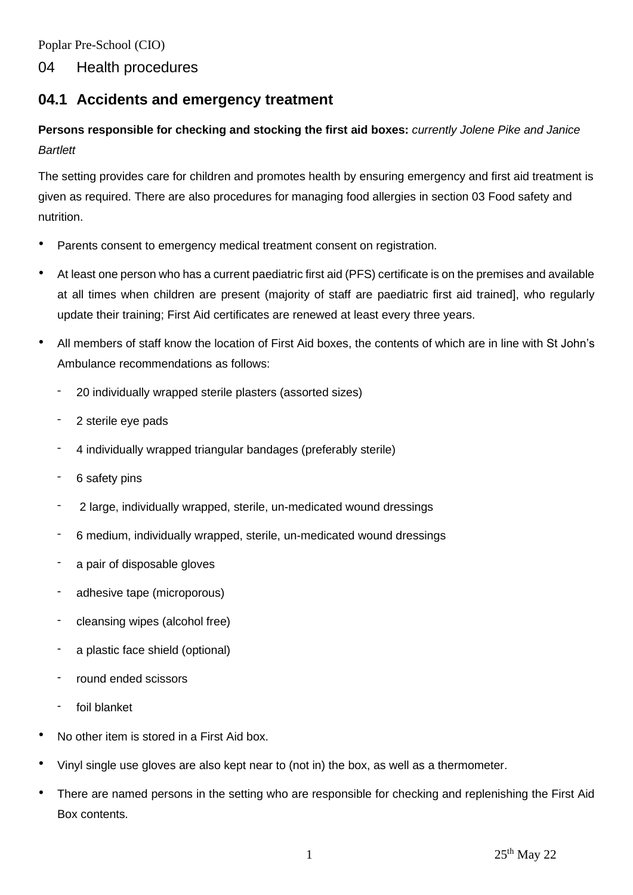Poplar Pre-School (CIO)

### 04 Health procedures

## **04.1 Accidents and emergency treatment**

# **Persons responsible for checking and stocking the first aid boxes:** *currently Jolene Pike and Janice Bartlett*

The setting provides care for children and promotes health by ensuring emergency and first aid treatment is given as required. There are also procedures for managing food allergies in section 03 Food safety and nutrition.

- Parents consent to emergency medical treatment consent on registration.
- At least one person who has a current paediatric first aid (PFS) certificate is on the premises and available at all times when children are present (majority of staff are paediatric first aid trained], who regularly update their training; First Aid certificates are renewed at least every three years.
- All members of staff know the location of First Aid boxes, the contents of which are in line with St John's Ambulance recommendations as follows:
	- 20 individually wrapped sterile plasters (assorted sizes)
	- 2 sterile eye pads
	- 4 individually wrapped triangular bandages (preferably sterile)
	- 6 safety pins
	- 2 large, individually wrapped, sterile, un-medicated wound dressings
	- 6 medium, individually wrapped, sterile, un-medicated wound dressings
	- a pair of disposable gloves
	- adhesive tape (microporous)
	- cleansing wipes (alcohol free)
	- a plastic face shield (optional)
	- round ended scissors
	- foil blanket
- No other item is stored in a First Aid box.
- Vinyl single use gloves are also kept near to (not in) the box, as well as a thermometer.
- There are named persons in the setting who are responsible for checking and replenishing the First Aid Box contents.